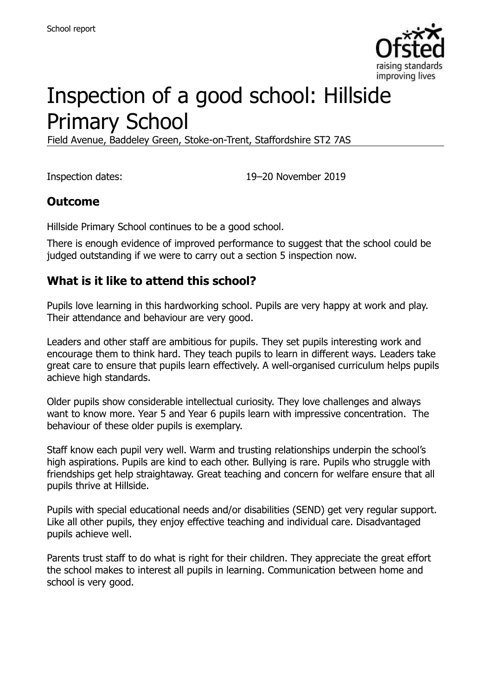

# Inspection of a good school: Hillside Primary School

Field Avenue, Baddeley Green, Stoke-on-Trent, Staffordshire ST2 7AS

Inspection dates: 19–20 November 2019

#### **Outcome**

Hillside Primary School continues to be a good school.

There is enough evidence of improved performance to suggest that the school could be judged outstanding if we were to carry out a section 5 inspection now.

#### **What is it like to attend this school?**

Pupils love learning in this hardworking school. Pupils are very happy at work and play. Their attendance and behaviour are very good.

Leaders and other staff are ambitious for pupils. They set pupils interesting work and encourage them to think hard. They teach pupils to learn in different ways. Leaders take great care to ensure that pupils learn effectively. A well-organised curriculum helps pupils achieve high standards.

Older pupils show considerable intellectual curiosity. They love challenges and always want to know more. Year 5 and Year 6 pupils learn with impressive concentration. The behaviour of these older pupils is exemplary.

Staff know each pupil very well. Warm and trusting relationships underpin the school's high aspirations. Pupils are kind to each other. Bullying is rare. Pupils who struggle with friendships get help straightaway. Great teaching and concern for welfare ensure that all pupils thrive at Hillside.

Pupils with special educational needs and/or disabilities (SEND) get very regular support. Like all other pupils, they enjoy effective teaching and individual care. Disadvantaged pupils achieve well.

Parents trust staff to do what is right for their children. They appreciate the great effort the school makes to interest all pupils in learning. Communication between home and school is very good.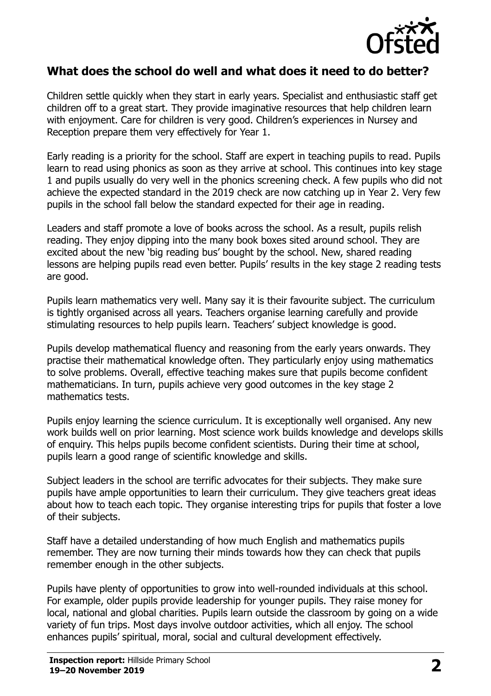

#### **What does the school do well and what does it need to do better?**

Children settle quickly when they start in early years. Specialist and enthusiastic staff get children off to a great start. They provide imaginative resources that help children learn with enjoyment. Care for children is very good. Children's experiences in Nursey and Reception prepare them very effectively for Year 1.

Early reading is a priority for the school. Staff are expert in teaching pupils to read. Pupils learn to read using phonics as soon as they arrive at school. This continues into key stage 1 and pupils usually do very well in the phonics screening check. A few pupils who did not achieve the expected standard in the 2019 check are now catching up in Year 2. Very few pupils in the school fall below the standard expected for their age in reading.

Leaders and staff promote a love of books across the school. As a result, pupils relish reading. They enjoy dipping into the many book boxes sited around school. They are excited about the new 'big reading bus' bought by the school. New, shared reading lessons are helping pupils read even better. Pupils' results in the key stage 2 reading tests are good.

Pupils learn mathematics very well. Many say it is their favourite subject. The curriculum is tightly organised across all years. Teachers organise learning carefully and provide stimulating resources to help pupils learn. Teachers' subject knowledge is good.

Pupils develop mathematical fluency and reasoning from the early years onwards. They practise their mathematical knowledge often. They particularly enjoy using mathematics to solve problems. Overall, effective teaching makes sure that pupils become confident mathematicians. In turn, pupils achieve very good outcomes in the key stage 2 mathematics tests.

Pupils enjoy learning the science curriculum. It is exceptionally well organised. Any new work builds well on prior learning. Most science work builds knowledge and develops skills of enquiry. This helps pupils become confident scientists. During their time at school, pupils learn a good range of scientific knowledge and skills.

Subject leaders in the school are terrific advocates for their subjects. They make sure pupils have ample opportunities to learn their curriculum. They give teachers great ideas about how to teach each topic. They organise interesting trips for pupils that foster a love of their subjects.

Staff have a detailed understanding of how much English and mathematics pupils remember. They are now turning their minds towards how they can check that pupils remember enough in the other subjects.

Pupils have plenty of opportunities to grow into well-rounded individuals at this school. For example, older pupils provide leadership for younger pupils. They raise money for local, national and global charities. Pupils learn outside the classroom by going on a wide variety of fun trips. Most days involve outdoor activities, which all enjoy. The school enhances pupils' spiritual, moral, social and cultural development effectively.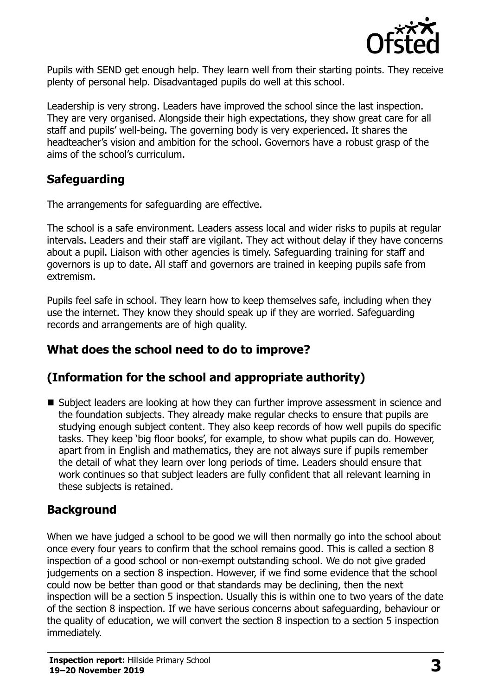

Pupils with SEND get enough help. They learn well from their starting points. They receive plenty of personal help. Disadvantaged pupils do well at this school.

Leadership is very strong. Leaders have improved the school since the last inspection. They are very organised. Alongside their high expectations, they show great care for all staff and pupils' well-being. The governing body is very experienced. It shares the headteacher's vision and ambition for the school. Governors have a robust grasp of the aims of the school's curriculum.

#### **Safeguarding**

The arrangements for safeguarding are effective.

The school is a safe environment. Leaders assess local and wider risks to pupils at regular intervals. Leaders and their staff are vigilant. They act without delay if they have concerns about a pupil. Liaison with other agencies is timely. Safeguarding training for staff and governors is up to date. All staff and governors are trained in keeping pupils safe from extremism.

Pupils feel safe in school. They learn how to keep themselves safe, including when they use the internet. They know they should speak up if they are worried. Safeguarding records and arrangements are of high quality.

#### **What does the school need to do to improve?**

# **(Information for the school and appropriate authority)**

■ Subject leaders are looking at how they can further improve assessment in science and the foundation subjects. They already make regular checks to ensure that pupils are studying enough subject content. They also keep records of how well pupils do specific tasks. They keep 'big floor books', for example, to show what pupils can do. However, apart from in English and mathematics, they are not always sure if pupils remember the detail of what they learn over long periods of time. Leaders should ensure that work continues so that subject leaders are fully confident that all relevant learning in these subjects is retained.

# **Background**

When we have judged a school to be good we will then normally go into the school about once every four years to confirm that the school remains good. This is called a section 8 inspection of a good school or non-exempt outstanding school. We do not give graded judgements on a section 8 inspection. However, if we find some evidence that the school could now be better than good or that standards may be declining, then the next inspection will be a section 5 inspection. Usually this is within one to two years of the date of the section 8 inspection. If we have serious concerns about safeguarding, behaviour or the quality of education, we will convert the section 8 inspection to a section 5 inspection immediately.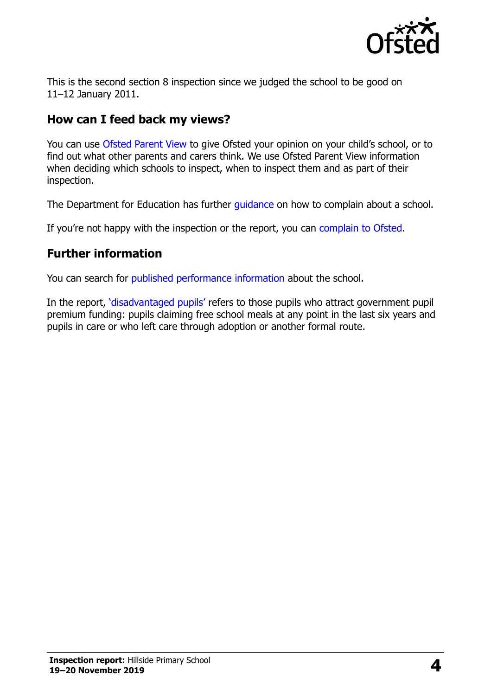

This is the second section 8 inspection since we judged the school to be good on 11–12 January 2011.

# **How can I feed back my views?**

You can use [Ofsted Parent View](https://parentview.ofsted.gov.uk/) to give Ofsted your opinion on your child's school, or to find out what other parents and carers think. We use Ofsted Parent View information when deciding which schools to inspect, when to inspect them and as part of their inspection.

The Department for Education has further quidance on how to complain about a school.

If you're not happy with the inspection or the report, you can [complain to Ofsted.](https://www.gov.uk/complain-ofsted-report)

# **Further information**

You can search for [published performance information](http://www.compare-school-performance.service.gov.uk/) about the school.

In the report, '[disadvantaged pupils](http://www.gov.uk/guidance/pupil-premium-information-for-schools-and-alternative-provision-settings)' refers to those pupils who attract government pupil premium funding: pupils claiming free school meals at any point in the last six years and pupils in care or who left care through adoption or another formal route.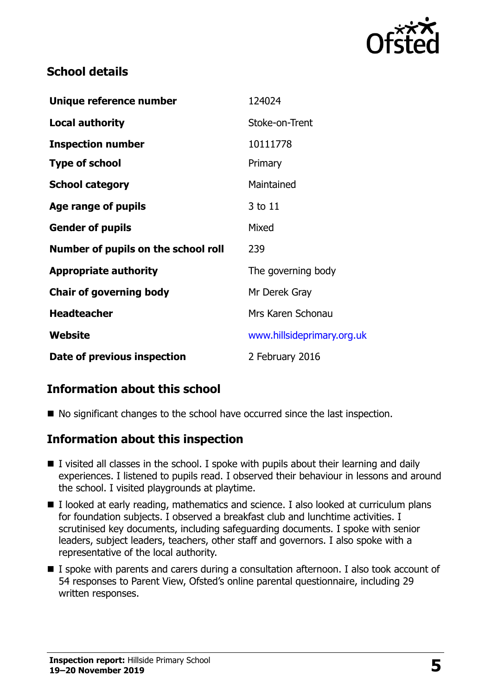

#### **School details**

| Unique reference number             | 124024                     |
|-------------------------------------|----------------------------|
| <b>Local authority</b>              | Stoke-on-Trent             |
| <b>Inspection number</b>            | 10111778                   |
| <b>Type of school</b>               | Primary                    |
| <b>School category</b>              | Maintained                 |
| Age range of pupils                 | 3 to 11                    |
| <b>Gender of pupils</b>             | Mixed                      |
| Number of pupils on the school roll | 239                        |
| <b>Appropriate authority</b>        | The governing body         |
| <b>Chair of governing body</b>      | Mr Derek Gray              |
| <b>Headteacher</b>                  | Mrs Karen Schonau          |
| Website                             | www.hillsideprimary.org.uk |
| Date of previous inspection         | 2 February 2016            |

# **Information about this school**

■ No significant changes to the school have occurred since the last inspection.

#### **Information about this inspection**

- I visited all classes in the school. I spoke with pupils about their learning and daily experiences. I listened to pupils read. I observed their behaviour in lessons and around the school. I visited playgrounds at playtime.
- I looked at early reading, mathematics and science. I also looked at curriculum plans for foundation subjects. I observed a breakfast club and lunchtime activities. I scrutinised key documents, including safeguarding documents. I spoke with senior leaders, subject leaders, teachers, other staff and governors. I also spoke with a representative of the local authority.
- I spoke with parents and carers during a consultation afternoon. I also took account of 54 responses to Parent View, Ofsted's online parental questionnaire, including 29 written responses.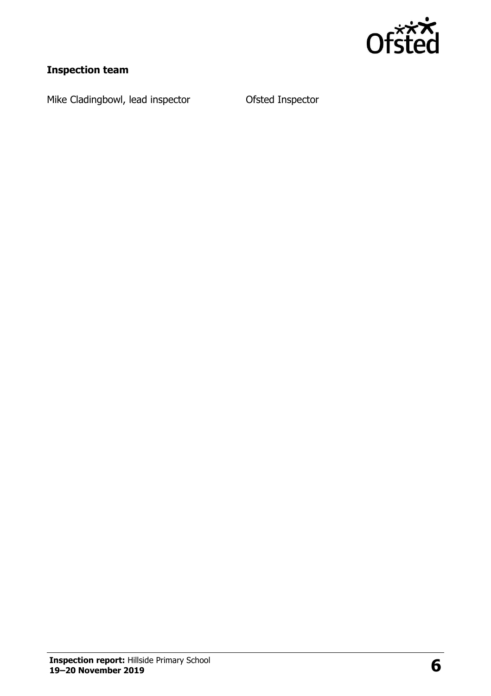

# **Inspection team**

Mike Cladingbowl, lead inspector **Ofsted Inspector**